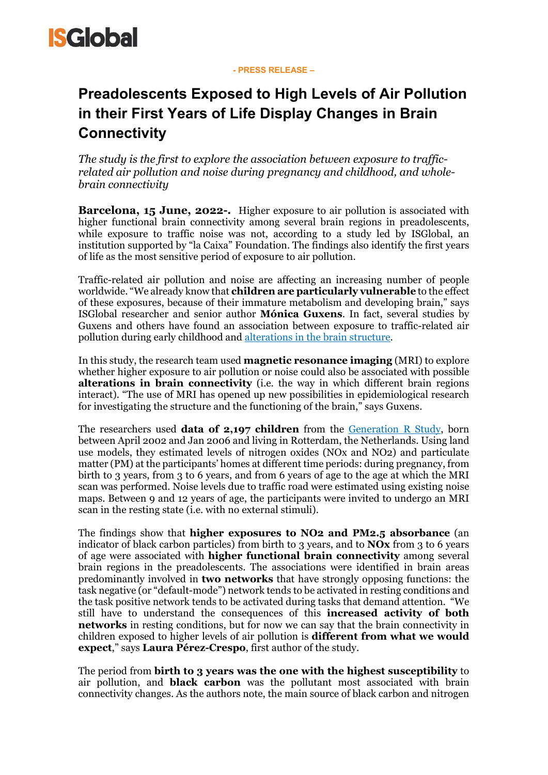

#### **- PRESS RELEASE –**

# **Preadolescents Exposed to High Levels of Air Pollution in their First Years of Life Display Changes in Brain Connectivity**

*The study is the first to explore the association between exposure to trafficrelated air pollution and noise during pregnancy and childhood, and wholebrain connectivity* 

**Barcelona, 15 June, 2022-***.* Higher exposure to air pollution is associated with higher functional brain connectivity among several brain regions in preadolescents, while exposure to traffic noise was not, according to a study led by ISGlobal, an institution supported by "la Caixa" Foundation. The findings also identify the first years of life as the most sensitive period of exposure to air pollution.

Traffic-related air pollution and noise are affecting an increasing number of people worldwide. "We already know that **children are particularly vulnerable** to the effect of these exposures, because of their immature metabolism and developing brain," says ISGlobal researcher and senior author **Mónica Guxens**. In fact, several studies by Guxens and others have found an association between exposure to traffic-related air pollution during early childhood and [alterations](https://www.isglobal.org/en/-/la-exposicion-prenatal-a-la-contaminacion-atmosferica-podria-provocar-cambios-en-el-cerebro-infantil-relacionados-con-trastornos-de-comportamiento?redirect=https%3A%2F%2Fwww.isglobal.org%2Fsearch-results%3Fp_p_id%3D3%26p_p_lifecycle%3D0%26p_p_state%3Dmaximized%26p_p_mode%3Dview%26_3_redirect%3D%252F%26_3_cur%3D3%26_3_keywords%3Dbrain%2Bstructure%26_3_advancedSearch%3Dfalse%26_3_delta%3D20%26_3_resetCur%3Dfalse%26_3_andOperator%3Dtrue%26_3_struts_action%3D%252Fsearch%252Fsearch&inheritRedirect=true) in the brain structure.

In this study, the research team used **magnetic resonance imaging** (MRI) to explore whether higher exposure to air pollution or noise could also be associated with possible **alterations in brain connectivity** (i.e. the way in which different brain regions interact). "The use of MRI has opened up new possibilities in epidemiological research for investigating the structure and the functioning of the brain," says Guxens.

The researchers used **data of 2,197 children** from the [Generation](https://generationr.nl/researchers/) R Study, born between April 2002 and Jan 2006 and living in Rotterdam, the Netherlands. Using land use models, they estimated levels of nitrogen oxides (NOx and NO2) and particulate matter (PM) at the participants' homes at different time periods: during pregnancy, from birth to 3 years, from 3 to 6 years, and from 6 years of age to the age at which the MRI scan was performed. Noise levels due to traffic road were estimated using existing noise maps. Between 9 and 12 years of age, the participants were invited to undergo an MRI scan in the resting state (i.e. with no external stimuli).

The findings show that **higher exposures to NO2 and PM2.5 absorbance** (an indicator of black carbon particles) from birth to 3 years, and to **NOx** from 3 to 6 years of age were associated with **higher functional brain connectivity** among several brain regions in the preadolescents. The associations were identified in brain areas predominantly involved in **two networks** that have strongly opposing functions: the task negative (or "default-mode") network tends to be activated in resting conditions and the task positive network tends to be activated during tasks that demand attention. "We still have to understand the consequences of this **increased activity of both networks** in resting conditions, but for now we can say that the brain connectivity in children exposed to higher levels of air pollution is **different from what we would expect**," says **Laura Pérez-Crespo**, first author of the study.

The period from **birth to 3 years was the one with the highest susceptibility** to air pollution, and **black carbon** was the pollutant most associated with brain connectivity changes. As the authors note, the main source of black carbon and nitrogen